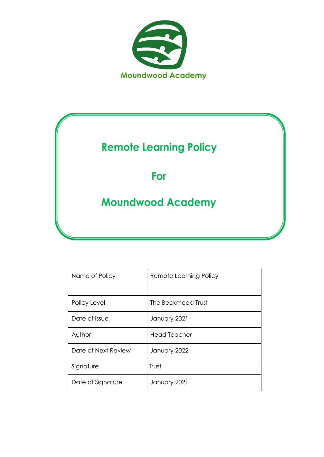

# **Remote Learning Policy**

# For

# **Moundwood Academy**

| Name of Policy      | Remote Learning Policy |
|---------------------|------------------------|
| Policy Level        | The Beckmead Trust     |
| Date of Issue       | January 2021           |
| Author              | Head Teacher           |
| Date of Next Review | January 2022           |
| Signature           | Trust                  |
| Date of Signature   | January 2021           |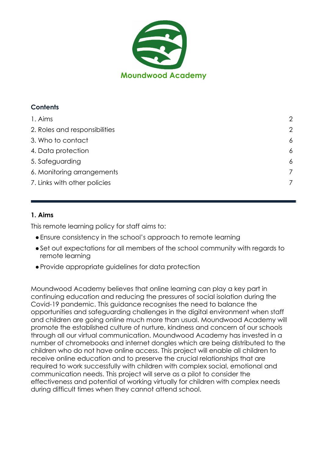

# **Contents**

| 1. Aims                       | 2 |
|-------------------------------|---|
| 2. Roles and responsibilities | 2 |
| 3. Who to contact             | 6 |
| 4. Data protection            | 6 |
| 5. Safeguarding               | 6 |
| 6. Monitoring arrangements    | 7 |
| 7. Links with other policies  |   |

# <span id="page-1-0"></span>**1. Aims**

This remote learning policy for staff aims to:

- ●Ensure consistency in the school's approach to remote learning
- ●Set out expectations for all members of the school community with regards to remote learning
- ●Provide appropriate guidelines for data protection

Moundwood Academy believes that online learning can play a key part in continuing education and reducing the pressures of social isolation during the Covid-19 pandemic. This guidance recognises the need to balance the opportunities and safeguarding challenges in the digital environment when staff and children are going online much more than usual. Moundwood Academy will promote the established culture of nurture, kindness and concern of our schools through all our virtual communication. Moundwood Academy has invested in a number of chromebooks and internet dongles which are being distributed to the children who do not have online access. This project will enable all children to receive online education and to preserve the crucial relationships that are required to work successfully with children with complex social, emotional and communication needs. This project will serve as a pilot to consider the effectiveness and potential of working virtually for children with complex needs during difficult times when they cannot attend school.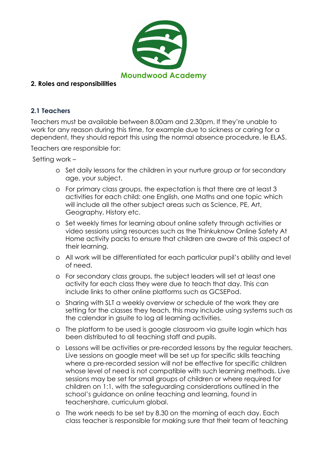

#### <span id="page-2-0"></span>**2. Roles and responsibilities**

#### **2.1 Teachers**

Teachers must be available between 8.00am and 2.30pm. If they're unable to work for any reason during this time, for example due to sickness or caring for a dependent, they should report this using the normal absence procedure. Ie ELAS.

Teachers are responsible for:

Setting work –

- o Set daily lessons for the children in your nurture group or for secondary age, your subject.
- o For primary class groups, the expectation is that there are at least 3 activities for each child: one English, one Maths and one topic which will include all the other subject areas such as Science, PE, Art, Geography, History etc.
- o Set weekly times for learning about online safety through activities or video sessions using resources such as the Thinkuknow Online Safety At Home activity packs to ensure that children are aware of this aspect of their learning.
- o All work will be differentiated for each particular pupil's ability and level of need.
- o For secondary class groups, the subject leaders will set at least one activity for each class they were due to teach that day. This can include links to other online platforms such as GCSEPod.
- o Sharing with SLT a weekly overview or schedule of the work they are setting for the classes they teach, this may include using systems such as the calendar in gsuite to log all learning activities.
- o The platform to be used is google classroom via gsuite login which has been distributed to all teaching staff and pupils.
- o Lessons will be activities or pre-recorded lessons by the regular teachers. Live sessions on google meet will be set up for specific skills teaching where a pre-recorded session will not be effective for specific children whose level of need is not compatible with such learning methods. Live sessions may be set for small groups of children or where required for children on 1:1, with the safeguarding considerations outlined in the school's guidance on online teaching and learning, found in teachershare, curriculum global.
- o The work needs to be set by 8.30 on the morning of each day. Each class teacher is responsible for making sure that their team of teaching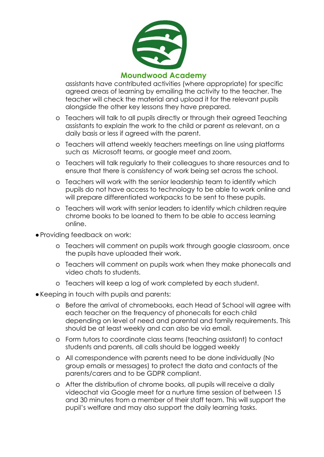

assistants have contributed activities (where appropriate) for specific agreed areas of learning by emailing the activity to the teacher. The teacher will check the material and upload it for the relevant pupils alongside the other key lessons they have prepared.

- o Teachers will talk to all pupils directly or through their agreed Teaching assistants to explain the work to the child or parent as relevant, on a daily basis or less if agreed with the parent.
- o Teachers will attend weekly teachers meetings on line using platforms such as Microsoft teams, or google meet and zoom.
- o Teachers will talk regularly to their colleagues to share resources and to ensure that there is consistency of work being set across the school.
- o Teachers will work with the senior leadership team to identify which pupils do not have access to technology to be able to work online and will prepare differentiated workpacks to be sent to these pupils.
- o Teachers will work with senior leaders to identify which children require chrome books to be loaned to them to be able to access learning online.
- Providing feedback on work:
	- o Teachers will comment on pupils work through google classroom, once the pupils have uploaded their work.
	- o Teachers will comment on pupils work when they make phonecalls and video chats to students.
	- o Teachers will keep a log of work completed by each student.
- ●Keeping in touch with pupils and parents:
	- o Before the arrival of chromebooks, each Head of School will agree with each teacher on the frequency of phonecalls for each child depending on level of need and parental and family requirements. This should be at least weekly and can also be via email.
	- o Form tutors to coordinate class teams (teaching assistant) to contact students and parents, all calls should be logged weekly
	- o All correspondence with parents need to be done individually (No group emails or messages) to protect the data and contacts of the parents/carers and to be GDPR compliant.
	- o After the distribution of chrome books, all pupils will receive a daily videochat via Google meet for a nurture time session of between 15 and 30 minutes from a member of their staff team. This will support the pupil's welfare and may also support the daily learning tasks.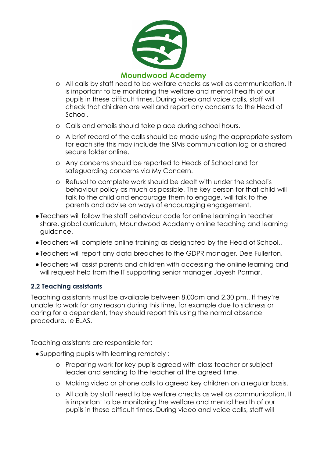

- o All calls by staff need to be welfare checks as well as communication. It is important to be monitoring the welfare and mental health of our pupils in these difficult times. During video and voice calls, staff will check that children are well and report any concerns to the Head of School.
- o Calls and emails should take place during school hours.
- o A brief record of the calls should be made using the appropriate system for each site this may include the SIMs communication log or a shared secure folder online.
- o Any concerns should be reported to Heads of School and for safeguarding concerns via My Concern.
- o Refusal to complete work should be dealt with under the school's behaviour policy as much as possible. The key person for that child will talk to the child and encourage them to engage, will talk to the parents and advise on ways of encouraging engagement.
- ●Teachers will follow the staff behaviour code for online learning in teacher share, global curriculum, Moundwood Academy online teaching and learning guidance.
- ●Teachers will complete online training as designated by the Head of School..
- ●Teachers will report any data breaches to the GDPR manager, Dee Fullerton.
- ●Teachers will assist parents and children with accessing the online learning and will request help from the IT supporting senior manager Jayesh Parmar.

#### **2.2 Teaching assistants**

Teaching assistants must be available between 8.00am and 2.30 pm.. If they're unable to work for any reason during this time, for example due to sickness or caring for a dependent, they should report this using the normal absence procedure. Ie ELAS.

Teaching assistants are responsible for:

- ●Supporting pupils with learning remotely :
	- o Preparing work for key pupils agreed with class teacher or subject leader and sending to the teacher at the agreed time.
	- o Making video or phone calls to agreed key children on a regular basis.
	- o All calls by staff need to be welfare checks as well as communication. It is important to be monitoring the welfare and mental health of our pupils in these difficult times. During video and voice calls, staff will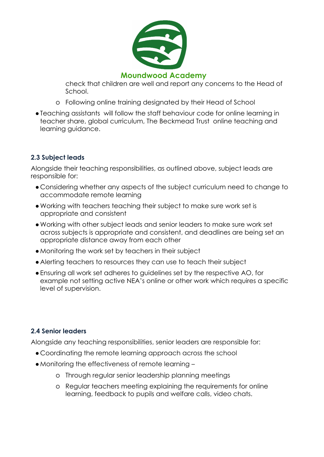

check that children are well and report any concerns to the Head of School.

- o Following online training designated by their Head of School
- ●Teaching assistants will follow the staff behaviour code for online learning in teacher share, global curriculum, The Beckmead Trust online teaching and learning guidance.

# **2.3 Subject leads**

Alongside their teaching responsibilities, as outlined above, subject leads are responsible for:

- Considering whether any aspects of the subject curriculum need to change to accommodate remote learning
- ●Working with teachers teaching their subject to make sure work set is appropriate and consistent
- ●Working with other subject leads and senior leaders to make sure work set across subjects is appropriate and consistent, and deadlines are being set an appropriate distance away from each other
- ●Monitoring the work set by teachers in their subject
- ●Alerting teachers to resources they can use to teach their subject
- ●Ensuring all work set adheres to guidelines set by the respective AO, for example not setting active NEA's online or other work which requires a specific level of supervision.

# **2.4 Senior leaders**

Alongside any teaching responsibilities, senior leaders are responsible for:

- Coordinating the remote learning approach across the school
- ●Monitoring the effectiveness of remote learning
	- o Through regular senior leadership planning meetings
	- o Regular teachers meeting explaining the requirements for online learning, feedback to pupils and welfare calls, video chats.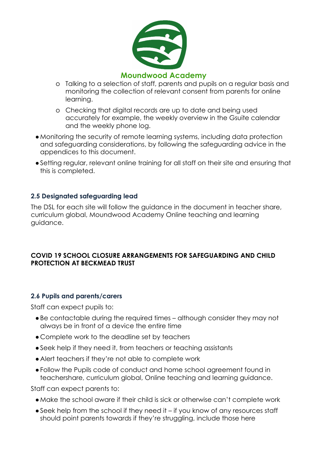

- o Talking to a selection of staff, parents and pupils on a regular basis and monitoring the collection of relevant consent from parents for online learning.
- o Checking that digital records are up to date and being used accurately for example, the weekly overview in the Gsuite calendar and the weekly phone log.
- ●Monitoring the security of remote learning systems, including data protection and safeguarding considerations, by following the safeguarding advice in the appendices to this document.
- ●Setting regular, relevant online training for all staff on their site and ensuring that this is completed.

#### **2.5 Designated safeguarding lead**

The DSL for each site will follow the guidance in the document in teacher share, curriculum global, Moundwood Academy Online teaching and learning guidance.

#### **COVID 19 SCHOOL CLOSURE ARRANGEMENTS FOR SAFEGUARDING AND CHILD PROTECTION AT BECKMEAD TRUST**

#### **2.6 Pupils and parents/carers**

Staff can expect pupils to:

- ●Be contactable during the required times although consider they may not always be in front of a device the entire time
- Complete work to the deadline set by teachers
- ●Seek help if they need it, from teachers or teaching assistants
- ●Alert teachers if they're not able to complete work
- ●Follow the Pupils code of conduct and home school agreement found in teachershare, curriculum global, Online teaching and learning guidance.

Staff can expect parents to:

- ●Make the school aware if their child is sick or otherwise can't complete work
- ●Seek help from the school if they need it if you know of any resources staff should point parents towards if they're struggling, include those here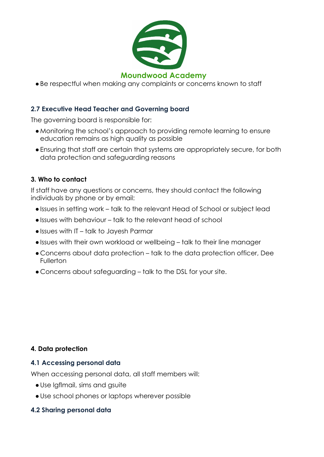

●Be respectful when making any complaints or concerns known to staff

#### **2.7 Executive Head Teacher and Governing board**

The governing board is responsible for:

- ●Monitoring the school's approach to providing remote learning to ensure education remains as high quality as possible
- ●Ensuring that staff are certain that systems are appropriately secure, for both data protection and safeguarding reasons

#### <span id="page-7-0"></span>**3. Who to contact**

If staff have any questions or concerns, they should contact the following individuals by phone or by email:

- ●Issues in setting work talk to the relevant Head of School or subject lead
- ●Issues with behaviour talk to the relevant head of school
- ●Issues with IT talk to Jayesh Parmar
- ●Issues with their own workload or wellbeing talk to their line manager
- Concerns about data protection talk to the data protection officer, Dee Fullerton
- <span id="page-7-1"></span>● Concerns about safeguarding – talk to the DSL for your site.

#### **4. Data protection**

#### **4.1 Accessing personal data**

When accessing personal data, all staff members will:

- ●Use lgflmail, sims and gsuite
- ●Use school phones or laptops wherever possible

#### **4.2 Sharing personal data**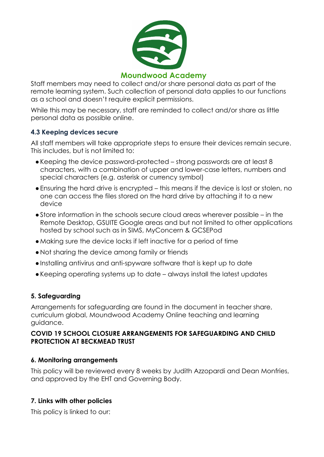

Staff members may need to collect and/or share personal data as part of the remote learning system. Such collection of personal data applies to our functions as a school and doesn't require explicit permissions.

While this may be necessary, staff are reminded to collect and/or share as little personal data as possible online.

#### **4.3 Keeping devices secure**

All staff members will take appropriate steps to ensure their devices remain secure. This includes, but is not limited to:

- ●Keeping the device password-protected strong passwords are at least 8 characters, with a combination of upper and lower-case letters, numbers and special characters (e.g. asterisk or currency symbol)
- ●Ensuring the hard drive is encrypted this means if the device is lost or stolen, no one can access the files stored on the hard drive by attaching it to a new device
- ●Store information in the schools secure cloud areas wherever possible in the Remote Desktop, GSUITE Google areas and but not limited to other applications hosted by school such as in SIMS, MyConcern & GCSEPod
- ●Making sure the device locks if left inactive for a period of time
- ●Not sharing the device among family or friends
- ●Installing antivirus and anti-spyware software that is kept up to date
- ●Keeping operating systems up to date always install the latest updates

# <span id="page-8-0"></span>**5. Safeguarding**

Arrangements for safeguarding are found in the document in teacher share, curriculum global, Moundwood Academy Online teaching and learning guidance.

#### **COVID 19 SCHOOL CLOSURE ARRANGEMENTS FOR SAFEGUARDING AND CHILD PROTECTION AT BECKMEAD TRUST**

#### <span id="page-8-1"></span>**6. Monitoring arrangements**

This policy will be reviewed every 8 weeks by Judith Azzopardi and Dean Monfries, and approved by the EHT and Governing Body.

# <span id="page-8-2"></span>**7. Links with other policies**

This policy is linked to our: